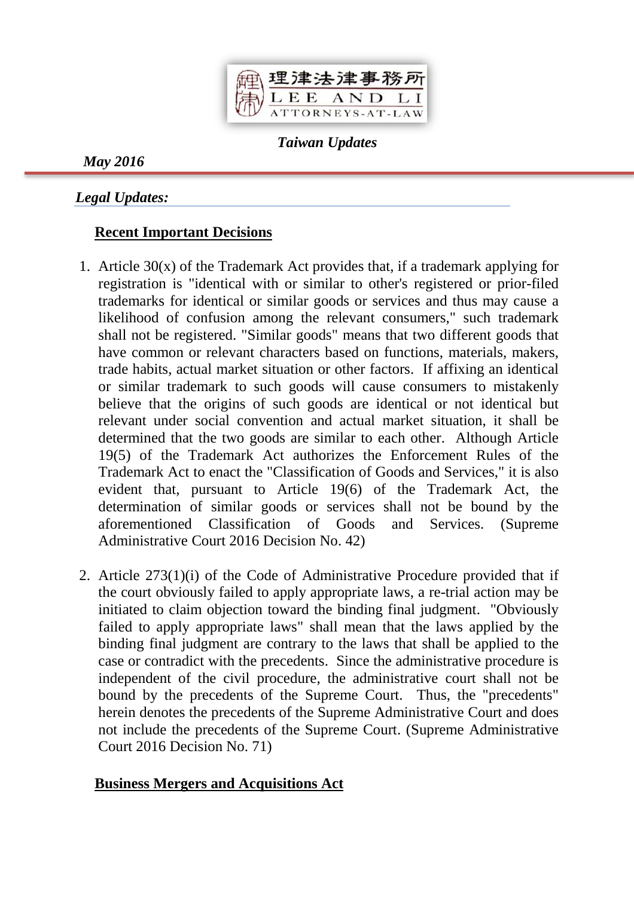

*Taiwan Updates*

*May 2016*

*Legal Updates:*

# **Recent Important Decisions**

- 1. Article 30(x) of the Trademark Act provides that, if a trademark applying for registration is "identical with or similar to other's registered or prior-filed trademarks for identical or similar goods or services and thus may cause a likelihood of confusion among the relevant consumers," such trademark shall not be registered. "Similar goods" means that two different goods that have common or relevant characters based on functions, materials, makers, trade habits, actual market situation or other factors. If affixing an identical or similar trademark to such goods will cause consumers to mistakenly believe that the origins of such goods are identical or not identical but relevant under social convention and actual market situation, it shall be determined that the two goods are similar to each other. Although Article 19(5) of the Trademark Act authorizes the Enforcement Rules of the Trademark Act to enact the "Classification of Goods and Services," it is also evident that, pursuant to Article 19(6) of the Trademark Act, the determination of similar goods or services shall not be bound by the aforementioned Classification of Goods and Services. (Supreme Administrative Court 2016 Decision No. 42)
- 2. Article 273(1)(i) of the Code of Administrative Procedure provided that if the court obviously failed to apply appropriate laws, a re-trial action may be initiated to claim objection toward the binding final judgment. "Obviously failed to apply appropriate laws" shall mean that the laws applied by the binding final judgment are contrary to the laws that shall be applied to the case or contradict with the precedents. Since the administrative procedure is independent of the civil procedure, the administrative court shall not be bound by the precedents of the Supreme Court. Thus, the "precedents" herein denotes the precedents of the Supreme Administrative Court and does not include the precedents of the Supreme Court. (Supreme Administrative Court 2016 Decision No. 71)

# **Business Mergers and Acquisitions Act**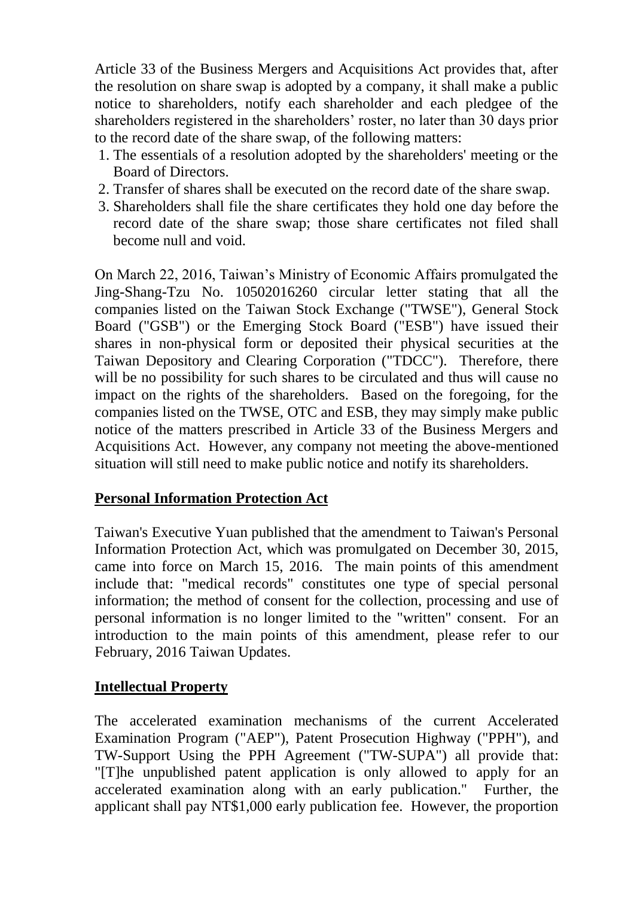Article 33 of the Business Mergers and Acquisitions Act provides that, after the resolution on share swap is adopted by a company, it shall make a public notice to shareholders, notify each shareholder and each pledgee of the shareholders registered in the shareholders' roster, no later than 30 days prior to the record date of the share swap, of the following matters:

- 1. The essentials of a resolution adopted by the shareholders' meeting or the Board of Directors.
- 2. Transfer of shares shall be executed on the record date of the share swap.
- 3. Shareholders shall file the share certificates they hold one day before the record date of the share swap; those share certificates not filed shall become null and void.

On March 22, 2016, Taiwan's Ministry of Economic Affairs promulgated the Jing-Shang-Tzu No. 10502016260 circular letter stating that all the companies listed on the Taiwan Stock Exchange ("TWSE"), General Stock Board ("GSB") or the Emerging Stock Board ("ESB") have issued their shares in non-physical form or deposited their physical securities at the Taiwan Depository and Clearing Corporation ("TDCC"). Therefore, there will be no possibility for such shares to be circulated and thus will cause no impact on the rights of the shareholders. Based on the foregoing, for the companies listed on the TWSE, OTC and ESB, they may simply make public notice of the matters prescribed in Article 33 of the Business Mergers and Acquisitions Act. However, any company not meeting the above-mentioned situation will still need to make public notice and notify its shareholders.

# **Personal Information Protection Act**

Taiwan's Executive Yuan published that the amendment to Taiwan's Personal Information Protection Act, which was promulgated on December 30, 2015, came into force on March 15, 2016. The main points of this amendment include that: "medical records" constitutes one type of special personal information; the method of consent for the collection, processing and use of personal information is no longer limited to the "written" consent. For an introduction to the main points of this amendment, please refer to our February, 2016 Taiwan Updates.

# **Intellectual Property**

The accelerated examination mechanisms of the current Accelerated Examination Program ("AEP"), Patent Prosecution Highway ("PPH"), and TW-Support Using the PPH Agreement ("TW-SUPA") all provide that: "[T]he unpublished patent application is only allowed to apply for an accelerated examination along with an early publication." Further, the applicant shall pay NT\$1,000 early publication fee. However, the proportion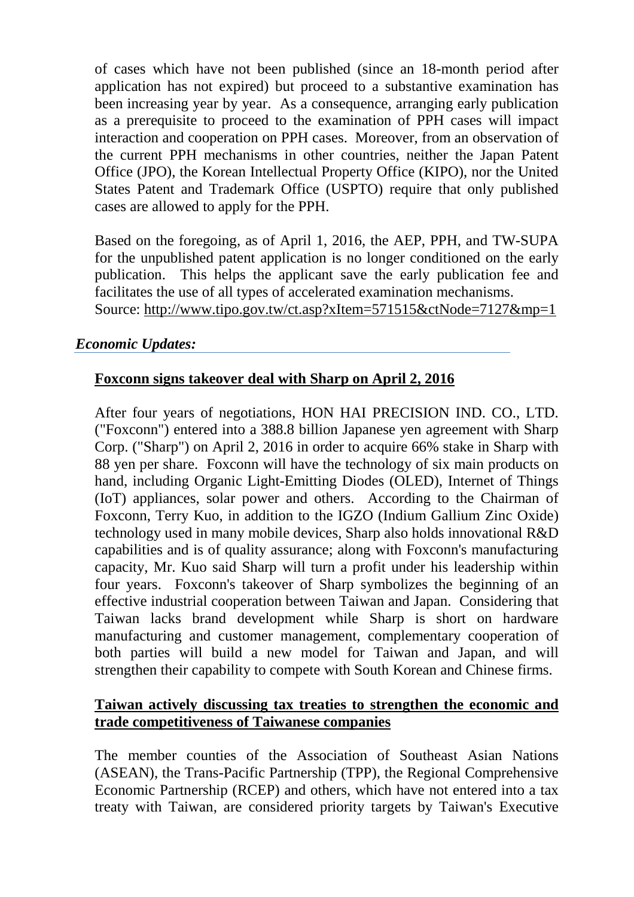of cases which have not been published (since an 18-month period after application has not expired) but proceed to a substantive examination has been increasing year by year. As a consequence, arranging early publication as a prerequisite to proceed to the examination of PPH cases will impact interaction and cooperation on PPH cases. Moreover, from an observation of the current PPH mechanisms in other countries, neither the Japan Patent Office (JPO), the Korean Intellectual Property Office (KIPO), nor the United States Patent and Trademark Office (USPTO) require that only published cases are allowed to apply for the PPH.

Based on the foregoing, as of April 1, 2016, the AEP, PPH, and TW-SUPA for the unpublished patent application is no longer conditioned on the early publication. This helps the applicant save the early publication fee and facilitates the use of all types of accelerated examination mechanisms. Source: <http://www.tipo.gov.tw/ct.asp?xItem=571515&ctNode=7127&mp=1>

## *Economic Updates:*

## **Foxconn signs takeover deal with Sharp on April 2, 2016**

After four years of negotiations, HON HAI PRECISION IND. CO., LTD. ("Foxconn") entered into a 388.8 billion Japanese yen agreement with Sharp Corp. ("Sharp") on April 2, 2016 in order to acquire 66% stake in Sharp with 88 yen per share. Foxconn will have the technology of six main products on hand, including Organic Light-Emitting Diodes (OLED), Internet of Things (IoT) appliances, solar power and others. According to the Chairman of Foxconn, Terry Kuo, in addition to the IGZO (Indium Gallium Zinc Oxide) technology used in many mobile devices, Sharp also holds innovational R&D capabilities and is of quality assurance; along with Foxconn's manufacturing capacity, Mr. Kuo said Sharp will turn a profit under his leadership within four years. Foxconn's takeover of Sharp symbolizes the beginning of an effective industrial cooperation between Taiwan and Japan. Considering that Taiwan lacks brand development while Sharp is short on hardware manufacturing and customer management, complementary cooperation of both parties will build a new model for Taiwan and Japan, and will strengthen their capability to compete with South Korean and Chinese firms.

## **Taiwan actively discussing tax treaties to strengthen the economic and trade competitiveness of Taiwanese companies**

The member counties of the Association of Southeast Asian Nations (ASEAN), the Trans-Pacific Partnership (TPP), the Regional Comprehensive Economic Partnership (RCEP) and others, which have not entered into a tax treaty with Taiwan, are considered priority targets by Taiwan's Executive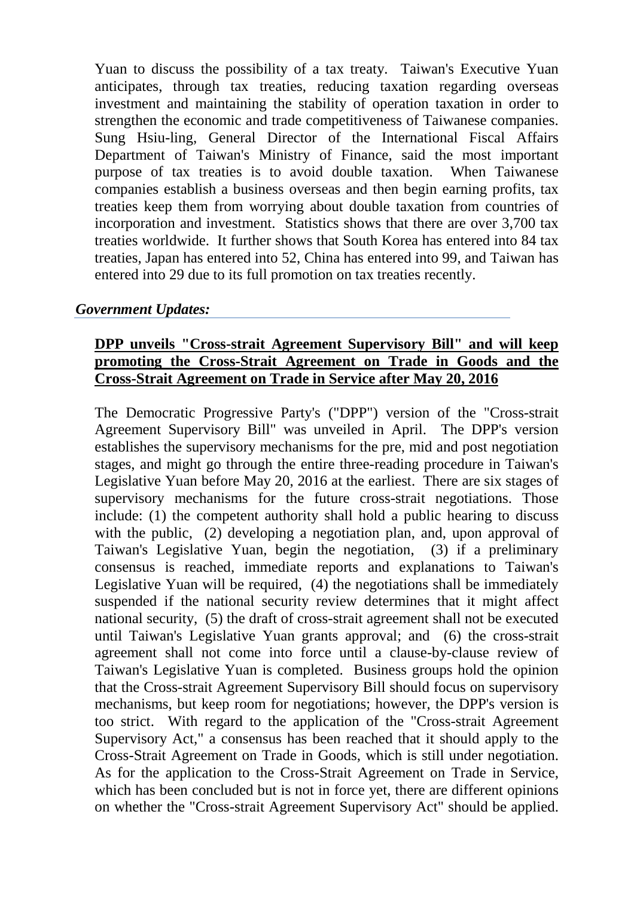Yuan to discuss the possibility of a tax treaty. Taiwan's Executive Yuan anticipates, through tax treaties, reducing taxation regarding overseas investment and maintaining the stability of operation taxation in order to strengthen the economic and trade competitiveness of Taiwanese companies. Sung Hsiu-ling, General Director of the International Fiscal Affairs Department of Taiwan's Ministry of Finance, said the most important purpose of tax treaties is to avoid double taxation. When Taiwanese companies establish a business overseas and then begin earning profits, tax treaties keep them from worrying about double taxation from countries of incorporation and investment. Statistics shows that there are over 3,700 tax treaties worldwide. It further shows that South Korea has entered into 84 tax treaties, Japan has entered into 52, China has entered into 99, and Taiwan has entered into 29 due to its full promotion on tax treaties recently.

#### *Government Updates:*

## **DPP unveils "Cross-strait Agreement Supervisory Bill" and will keep promoting the Cross-Strait Agreement on Trade in Goods and the Cross-Strait Agreement on Trade in Service after May 20, 2016**

The Democratic Progressive Party's ("DPP") version of the "Cross-strait Agreement Supervisory Bill" was unveiled in April. The DPP's version establishes the supervisory mechanisms for the pre, mid and post negotiation stages, and might go through the entire three-reading procedure in Taiwan's Legislative Yuan before May 20, 2016 at the earliest. There are six stages of supervisory mechanisms for the future cross-strait negotiations. Those include: (1) the competent authority shall hold a public hearing to discuss with the public, (2) developing a negotiation plan, and, upon approval of Taiwan's Legislative Yuan, begin the negotiation, (3) if a preliminary consensus is reached, immediate reports and explanations to Taiwan's Legislative Yuan will be required, (4) the negotiations shall be immediately suspended if the national security review determines that it might affect national security, (5) the draft of cross-strait agreement shall not be executed until Taiwan's Legislative Yuan grants approval; and (6) the cross-strait agreement shall not come into force until a clause-by-clause review of Taiwan's Legislative Yuan is completed. Business groups hold the opinion that the Cross-strait Agreement Supervisory Bill should focus on supervisory mechanisms, but keep room for negotiations; however, the DPP's version is too strict. With regard to the application of the "Cross-strait Agreement Supervisory Act," a consensus has been reached that it should apply to the Cross-Strait Agreement on Trade in Goods, which is still under negotiation. As for the application to the Cross-Strait Agreement on Trade in Service, which has been concluded but is not in force yet, there are different opinions on whether the "Cross-strait Agreement Supervisory Act" should be applied.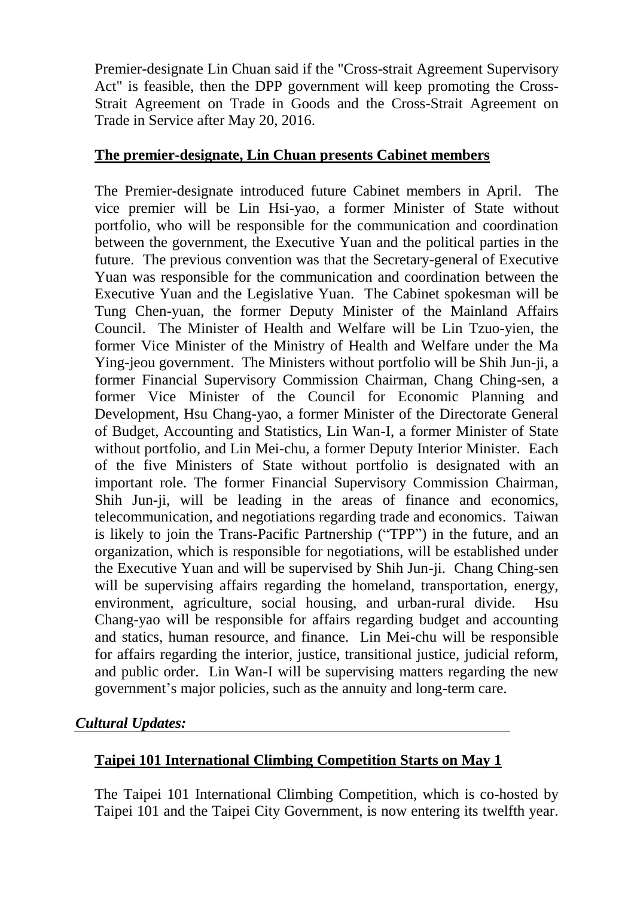Premier-designate Lin Chuan said if the "Cross-strait Agreement Supervisory Act" is feasible, then the DPP government will keep promoting the Cross-Strait Agreement on Trade in Goods and the Cross-Strait Agreement on Trade in Service after May 20, 2016.

## **The premier-designate, Lin Chuan presents Cabinet members**

The Premier-designate introduced future Cabinet members in April. The vice premier will be Lin Hsi-yao, a former Minister of State without portfolio, who will be responsible for the communication and coordination between the government, the Executive Yuan and the political parties in the future. The previous convention was that the Secretary-general of Executive Yuan was responsible for the communication and coordination between the Executive Yuan and the Legislative Yuan. The Cabinet spokesman will be Tung Chen-yuan, the former Deputy Minister of the Mainland Affairs Council. The Minister of Health and Welfare will be Lin Tzuo-yien, the former Vice Minister of the Ministry of Health and Welfare under the Ma Ying-jeou government. The Ministers without portfolio will be Shih Jun-ji, a former Financial Supervisory Commission Chairman, Chang Ching-sen, a former Vice Minister of the Council for Economic Planning and Development, Hsu Chang-yao, a former Minister of the Directorate General of Budget, Accounting and Statistics, Lin Wan-I, a former Minister of State without portfolio, and Lin Mei-chu, a former Deputy Interior Minister. Each of the five Ministers of State without portfolio is designated with an important role. The former Financial Supervisory Commission Chairman, Shih Jun-ji, will be leading in the areas of finance and economics, telecommunication, and negotiations regarding trade and economics. Taiwan is likely to join the Trans-Pacific Partnership ("TPP") in the future, and an organization, which is responsible for negotiations, will be established under the Executive Yuan and will be supervised by Shih Jun-ji. Chang Ching-sen will be supervising affairs regarding the homeland, transportation, energy, environment, agriculture, social housing, and urban-rural divide. Hsu Chang-yao will be responsible for affairs regarding budget and accounting and statics, human resource, and finance. Lin Mei-chu will be responsible for affairs regarding the interior, justice, transitional justice, judicial reform, and public order. Lin Wan-I will be supervising matters regarding the new government's major policies, such as the annuity and long-term care.

# *Cultural Updates:*

# **Taipei 101 International Climbing Competition Starts on May 1**

The Taipei 101 International Climbing Competition, which is co-hosted by Taipei 101 and the Taipei City Government, is now entering its twelfth year.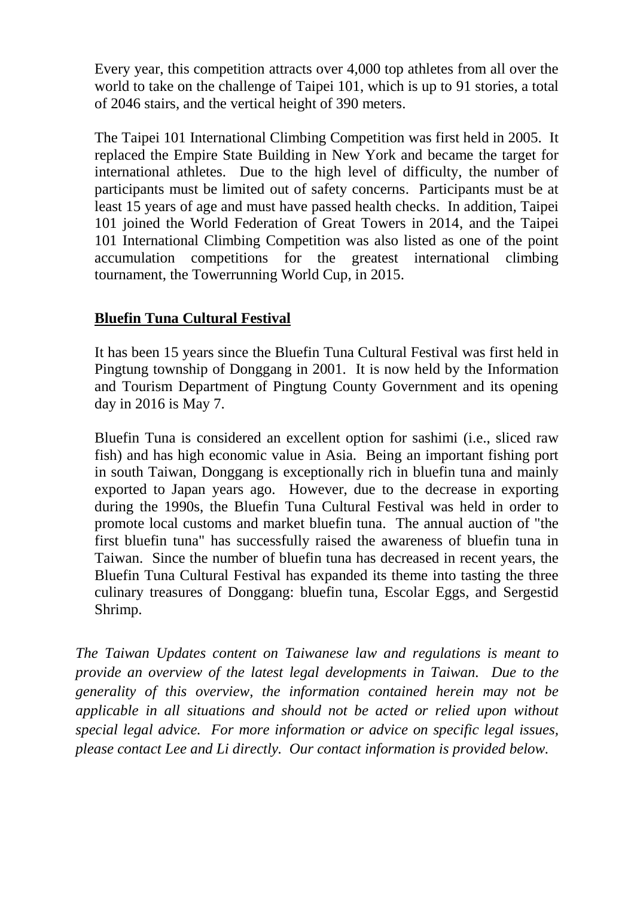Every year, this competition attracts over 4,000 top athletes from all over the world to take on the challenge of Taipei 101, which is up to 91 stories, a total of 2046 stairs, and the vertical height of 390 meters.

The Taipei 101 International Climbing Competition was first held in 2005. It replaced the Empire State Building in New York and became the target for international athletes. Due to the high level of difficulty, the number of participants must be limited out of safety concerns. Participants must be at least 15 years of age and must have passed health checks. In addition, Taipei 101 joined the World Federation of Great Towers in 2014, and the Taipei 101 International Climbing Competition was also listed as one of the point accumulation competitions for the greatest international climbing tournament, the Towerrunning World Cup, in 2015.

# **Bluefin Tuna Cultural Festival**

It has been 15 years since the Bluefin Tuna Cultural Festival was first held in Pingtung township of Donggang in 2001. It is now held by the Information and Tourism Department of Pingtung County Government and its opening day in 2016 is May 7.

Bluefin Tuna is considered an excellent option for sashimi (i.e., sliced raw fish) and has high economic value in Asia. Being an important fishing port in south Taiwan, Donggang is exceptionally rich in bluefin tuna and mainly exported to Japan years ago. However, due to the decrease in exporting during the 1990s, the Bluefin Tuna Cultural Festival was held in order to promote local customs and market bluefin tuna. The annual auction of "the first bluefin tuna" has successfully raised the awareness of bluefin tuna in Taiwan. Since the number of bluefin tuna has decreased in recent years, the Bluefin Tuna Cultural Festival has expanded its theme into tasting the three culinary treasures of Donggang: bluefin tuna, Escolar Eggs, and Sergestid Shrimp.

*The Taiwan Updates content on Taiwanese law and regulations is meant to provide an overview of the latest legal developments in Taiwan. Due to the generality of this overview, the information contained herein may not be applicable in all situations and should not be acted or relied upon without special legal advice. For more information or advice on specific legal issues, please contact Lee and Li directly. Our contact information is provided below.*